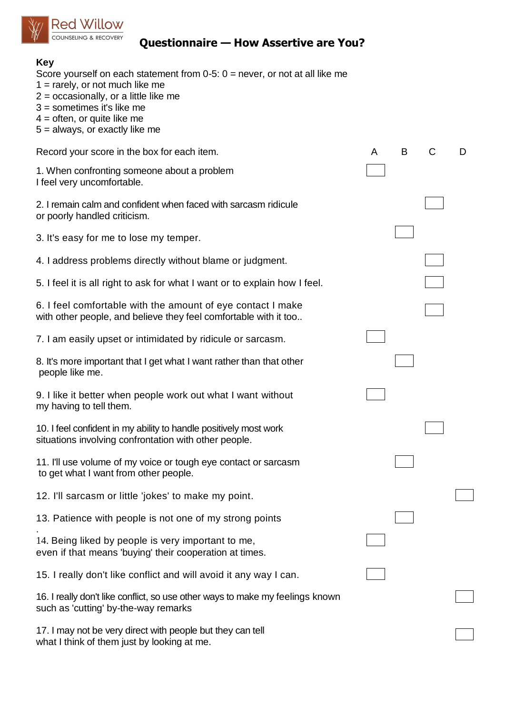

## **Questionnaire — How Assertive are You?**

| <b>Key</b><br>Score yourself on each statement from 0-5: $0 =$ never, or not at all like me<br>$1 =$ rarely, or not much like me<br>$2 =$ occasionally, or a little like me<br>$3 =$ sometimes it's like me<br>$4 =$ often, or quite like me<br>$5 =$ always, or exactly like me |   |   |   |   |
|----------------------------------------------------------------------------------------------------------------------------------------------------------------------------------------------------------------------------------------------------------------------------------|---|---|---|---|
| Record your score in the box for each item.                                                                                                                                                                                                                                      | A | B | C | D |
| 1. When confronting someone about a problem<br>I feel very uncomfortable.                                                                                                                                                                                                        |   |   |   |   |
| 2. I remain calm and confident when faced with sarcasm ridicule<br>or poorly handled criticism.                                                                                                                                                                                  |   |   |   |   |
| 3. It's easy for me to lose my temper.                                                                                                                                                                                                                                           |   |   |   |   |
| 4. I address problems directly without blame or judgment.                                                                                                                                                                                                                        |   |   |   |   |
| 5. I feel it is all right to ask for what I want or to explain how I feel.                                                                                                                                                                                                       |   |   |   |   |
| 6. I feel comfortable with the amount of eye contact I make<br>with other people, and believe they feel comfortable with it too                                                                                                                                                  |   |   |   |   |
| 7. I am easily upset or intimidated by ridicule or sarcasm.                                                                                                                                                                                                                      |   |   |   |   |
| 8. It's more important that I get what I want rather than that other<br>people like me.                                                                                                                                                                                          |   |   |   |   |
| 9. I like it better when people work out what I want without<br>my having to tell them.                                                                                                                                                                                          |   |   |   |   |
| 10. I feel confident in my ability to handle positively most work<br>situations involving confrontation with other people.                                                                                                                                                       |   |   |   |   |
| 11. I'll use volume of my voice or tough eye contact or sarcasm<br>to get what I want from other people.                                                                                                                                                                         |   |   |   |   |
| 12. I'll sarcasm or little 'jokes' to make my point.                                                                                                                                                                                                                             |   |   |   |   |
| 13. Patience with people is not one of my strong points                                                                                                                                                                                                                          |   |   |   |   |
| 14. Being liked by people is very important to me,<br>even if that means 'buying' their cooperation at times.                                                                                                                                                                    |   |   |   |   |
| 15. I really don't like conflict and will avoid it any way I can.                                                                                                                                                                                                                |   |   |   |   |
| 16. I really don't like conflict, so use other ways to make my feelings known<br>such as 'cutting' by-the-way remarks                                                                                                                                                            |   |   |   |   |
| 17. I may not be very direct with people but they can tell<br>what I think of them just by looking at me.                                                                                                                                                                        |   |   |   |   |